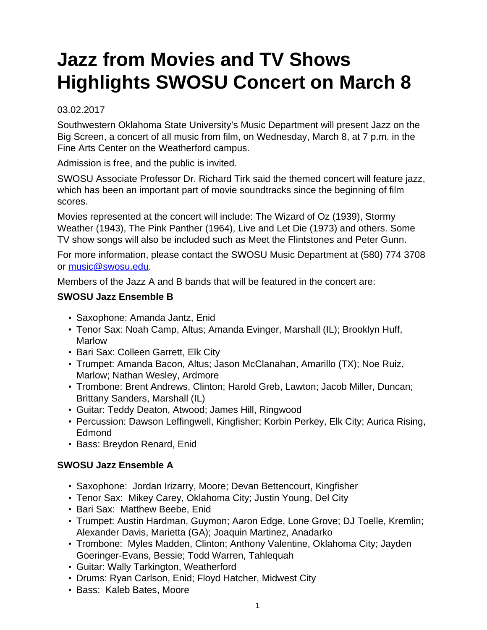## **Jazz from Movies and TV Shows Highlights SWOSU Concert on March 8**

## 03.02.2017

Southwestern Oklahoma State University's Music Department will present Jazz on the Big Screen, a concert of all music from film, on Wednesday, March 8, at 7 p.m. in the Fine Arts Center on the Weatherford campus.

Admission is free, and the public is invited.

SWOSU Associate Professor Dr. Richard Tirk said the themed concert will feature jazz, which has been an important part of movie soundtracks since the beginning of film scores.

Movies represented at the concert will include: The Wizard of Oz (1939), Stormy Weather (1943), The Pink Panther (1964), Live and Let Die (1973) and others. Some TV show songs will also be included such as Meet the Flintstones and Peter Gunn.

For more information, please contact the SWOSU Music Department at (580) 774 3708 or [music@swosu.edu.](mailto:music@swosu.edu)

Members of the Jazz A and B bands that will be featured in the concert are:

## **SWOSU Jazz Ensemble B**

- Saxophone: Amanda Jantz, Enid
- Tenor Sax: Noah Camp, Altus; Amanda Evinger, Marshall (IL); Brooklyn Huff, Marlow
- Bari Sax: Colleen Garrett, Elk City
- Trumpet: Amanda Bacon, Altus; Jason McClanahan, Amarillo (TX); Noe Ruiz, Marlow; Nathan Wesley, Ardmore
- Trombone: Brent Andrews, Clinton; Harold Greb, Lawton; Jacob Miller, Duncan; Brittany Sanders, Marshall (IL)
- Guitar: Teddy Deaton, Atwood; James Hill, Ringwood
- Percussion: Dawson Leffingwell, Kingfisher; Korbin Perkey, Elk City; Aurica Rising, Edmond
- Bass: Breydon Renard, Enid

## **SWOSU Jazz Ensemble A**

- Saxophone: Jordan Irizarry, Moore; Devan Bettencourt, Kingfisher
- Tenor Sax: Mikey Carey, Oklahoma City; Justin Young, Del City
- Bari Sax: Matthew Beebe, Enid
- Trumpet: Austin Hardman, Guymon; Aaron Edge, Lone Grove; DJ Toelle, Kremlin; Alexander Davis, Marietta (GA); Joaquin Martinez, Anadarko
- Trombone: Myles Madden, Clinton; Anthony Valentine, Oklahoma City; Jayden Goeringer-Evans, Bessie; Todd Warren, Tahlequah
- Guitar: Wally Tarkington, Weatherford
- Drums: Ryan Carlson, Enid; Floyd Hatcher, Midwest City
- Bass: Kaleb Bates, Moore